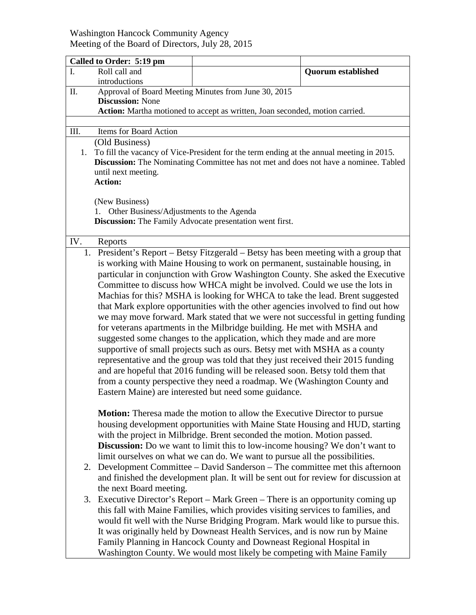## Washington Hancock Community Agency Meeting of the Board of Directors, July 28, 2015

|                | Called to Order: 5:19 pm                                                                                                                                                |                                                                                     |                           |  |  |
|----------------|-------------------------------------------------------------------------------------------------------------------------------------------------------------------------|-------------------------------------------------------------------------------------|---------------------------|--|--|
| I.             | Roll call and                                                                                                                                                           |                                                                                     | <b>Quorum established</b> |  |  |
|                | introductions                                                                                                                                                           |                                                                                     |                           |  |  |
| II.            |                                                                                                                                                                         | Approval of Board Meeting Minutes from June 30, 2015                                |                           |  |  |
|                | <b>Discussion: None</b>                                                                                                                                                 |                                                                                     |                           |  |  |
|                | Action: Martha motioned to accept as written, Joan seconded, motion carried.                                                                                            |                                                                                     |                           |  |  |
| III.           | Items for Board Action                                                                                                                                                  |                                                                                     |                           |  |  |
|                | (Old Business)                                                                                                                                                          |                                                                                     |                           |  |  |
| 1.             | To fill the vacancy of Vice-President for the term ending at the annual meeting in 2015.                                                                                |                                                                                     |                           |  |  |
|                | Discussion: The Nominating Committee has not met and does not have a nominee. Tabled                                                                                    |                                                                                     |                           |  |  |
|                | until next meeting.                                                                                                                                                     |                                                                                     |                           |  |  |
|                | <b>Action:</b>                                                                                                                                                          |                                                                                     |                           |  |  |
|                |                                                                                                                                                                         |                                                                                     |                           |  |  |
|                | (New Business)<br>1. Other Business/Adjustments to the Agenda                                                                                                           |                                                                                     |                           |  |  |
|                | <b>Discussion:</b> The Family Advocate presentation went first.                                                                                                         |                                                                                     |                           |  |  |
|                |                                                                                                                                                                         |                                                                                     |                           |  |  |
| IV.<br>Reports |                                                                                                                                                                         |                                                                                     |                           |  |  |
|                | 1. President's Report – Betsy Fitzgerald – Betsy has been meeting with a group that                                                                                     |                                                                                     |                           |  |  |
|                | is working with Maine Housing to work on permanent, sustainable housing, in                                                                                             |                                                                                     |                           |  |  |
|                | particular in conjunction with Grow Washington County. She asked the Executive                                                                                          |                                                                                     |                           |  |  |
|                | Committee to discuss how WHCA might be involved. Could we use the lots in                                                                                               |                                                                                     |                           |  |  |
|                | Machias for this? MSHA is looking for WHCA to take the lead. Brent suggested                                                                                            |                                                                                     |                           |  |  |
|                | that Mark explore opportunities with the other agencies involved to find out how                                                                                        |                                                                                     |                           |  |  |
|                | we may move forward. Mark stated that we were not successful in getting funding<br>for veterans apartments in the Milbridge building. He met with MSHA and              |                                                                                     |                           |  |  |
|                | suggested some changes to the application, which they made and are more                                                                                                 |                                                                                     |                           |  |  |
|                | supportive of small projects such as ours. Betsy met with MSHA as a county                                                                                              |                                                                                     |                           |  |  |
|                | representative and the group was told that they just received their 2015 funding                                                                                        |                                                                                     |                           |  |  |
|                | and are hopeful that 2016 funding will be released soon. Betsy told them that                                                                                           |                                                                                     |                           |  |  |
|                | from a county perspective they need a roadmap. We (Washington County and                                                                                                |                                                                                     |                           |  |  |
|                | Eastern Maine) are interested but need some guidance.                                                                                                                   |                                                                                     |                           |  |  |
|                |                                                                                                                                                                         |                                                                                     |                           |  |  |
|                | <b>Motion:</b> Theresa made the motion to allow the Executive Director to pursue                                                                                        |                                                                                     |                           |  |  |
|                | housing development opportunities with Maine State Housing and HUD, starting                                                                                            |                                                                                     |                           |  |  |
|                |                                                                                                                                                                         | with the project in Milbridge. Brent seconded the motion. Motion passed.            |                           |  |  |
|                |                                                                                                                                                                         | <b>Discussion:</b> Do we want to limit this to low-income housing? We don't want to |                           |  |  |
|                |                                                                                                                                                                         | limit ourselves on what we can do. We want to pursue all the possibilities.         |                           |  |  |
|                | Development Committee – David Sanderson – The committee met this afternoon<br>2.<br>and finished the development plan. It will be sent out for review for discussion at |                                                                                     |                           |  |  |
|                | the next Board meeting.                                                                                                                                                 |                                                                                     |                           |  |  |
| 3.             |                                                                                                                                                                         | Executive Director's Report – Mark Green – There is an opportunity coming up        |                           |  |  |
|                |                                                                                                                                                                         | this fall with Maine Families, which provides visiting services to families, and    |                           |  |  |
|                |                                                                                                                                                                         |                                                                                     |                           |  |  |
|                | would fit well with the Nurse Bridging Program. Mark would like to pursue this.<br>It was originally held by Downeast Health Services, and is now run by Maine          |                                                                                     |                           |  |  |
|                |                                                                                                                                                                         | Family Planning in Hancock County and Downeast Regional Hospital in                 |                           |  |  |
|                | Washington County. We would most likely be competing with Maine Family                                                                                                  |                                                                                     |                           |  |  |
|                |                                                                                                                                                                         |                                                                                     |                           |  |  |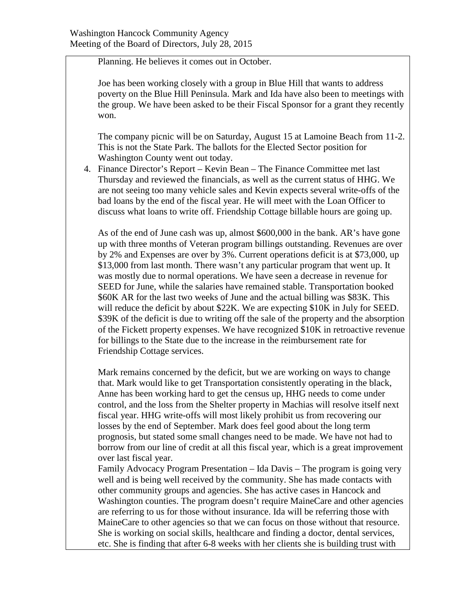Planning. He believes it comes out in October.

Joe has been working closely with a group in Blue Hill that wants to address poverty on the Blue Hill Peninsula. Mark and Ida have also been to meetings with the group. We have been asked to be their Fiscal Sponsor for a grant they recently won.

The company picnic will be on Saturday, August 15 at Lamoine Beach from 11-2. This is not the State Park. The ballots for the Elected Sector position for Washington County went out today.

4. Finance Director's Report – Kevin Bean – The Finance Committee met last Thursday and reviewed the financials, as well as the current status of HHG. We are not seeing too many vehicle sales and Kevin expects several write-offs of the bad loans by the end of the fiscal year. He will meet with the Loan Officer to discuss what loans to write off. Friendship Cottage billable hours are going up.

As of the end of June cash was up, almost \$600,000 in the bank. AR's have gone up with three months of Veteran program billings outstanding. Revenues are over by 2% and Expenses are over by 3%. Current operations deficit is at \$73,000, up \$13,000 from last month. There wasn't any particular program that went up. It was mostly due to normal operations. We have seen a decrease in revenue for SEED for June, while the salaries have remained stable. Transportation booked \$60K AR for the last two weeks of June and the actual billing was \$83K. This will reduce the deficit by about \$22K. We are expecting \$10K in July for SEED. \$39K of the deficit is due to writing off the sale of the property and the absorption of the Fickett property expenses. We have recognized \$10K in retroactive revenue for billings to the State due to the increase in the reimbursement rate for Friendship Cottage services.

Mark remains concerned by the deficit, but we are working on ways to change that. Mark would like to get Transportation consistently operating in the black, Anne has been working hard to get the census up, HHG needs to come under control, and the loss from the Shelter property in Machias will resolve itself next fiscal year. HHG write-offs will most likely prohibit us from recovering our losses by the end of September. Mark does feel good about the long term prognosis, but stated some small changes need to be made. We have not had to borrow from our line of credit at all this fiscal year, which is a great improvement over last fiscal year.

Family Advocacy Program Presentation – Ida Davis – The program is going very well and is being well received by the community. She has made contacts with other community groups and agencies. She has active cases in Hancock and Washington counties. The program doesn't require MaineCare and other agencies are referring to us for those without insurance. Ida will be referring those with MaineCare to other agencies so that we can focus on those without that resource. She is working on social skills, healthcare and finding a doctor, dental services, etc. She is finding that after 6-8 weeks with her clients she is building trust with